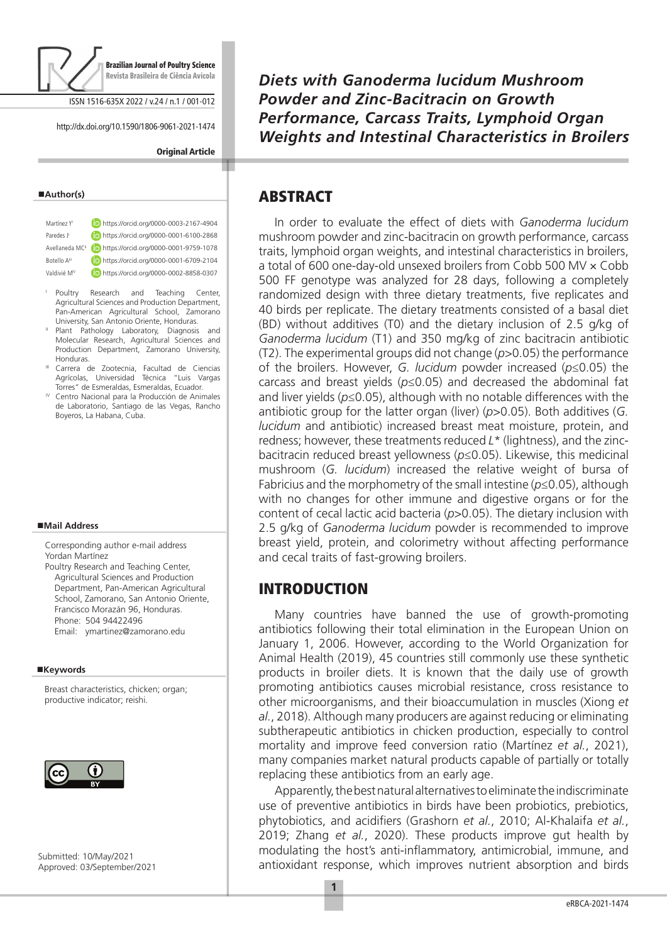

ISSN 1516-635X 2022 / v.24 / n.1 / 001-012

http://dx.doi.org/10.1590/1806-9061-2021-1474

#### **Original Article**

#### **Author(s)**

| Martínez Y <sup>I</sup>     | https://orcid.org/0000-0003-2167-4904 |
|-----------------------------|---------------------------------------|
| Paredes J                   | https://orcid.org/0000-0001-6100-2868 |
| Avellaneda MC <sup>II</sup> | https://orcid.org/0000-0001-9759-1078 |
| Botello A <sup>III</sup>    | https://orcid.org/0000-0001-6709-2104 |
| Valdivié M <sup>IV</sup>    | https://orcid.org/0000-0002-8858-0307 |
|                             |                                       |

- <sup>I</sup> Poultry Research and Teaching Center, Agricultural Sciences and Production Department, Pan-American Agricultural School, Zamorano<br>University, San Antonio Oriente, Honduras.
- " Plant Pathology Laboratory, Diagnosis and Molecular Research, Agricultural Sciences and Production Department, Zamorano University, Honduras.
- Carrera de Zootecnia, Facultad de Ciencias Agrícolas, Universidad Técnica "Luis Vargas<br>Torres" de Esmeraldas, Esmeraldas, Ecuador.
- $W$  Centro Nacional para la Producción de Animales de Laboratorio, Santiago de las Vegas, Rancho Boyeros, La Habana, Cuba.

#### **Mail Address**

Corresponding author e-mail address Yordan Martínez Poultry Research and Teaching Center,

Agricultural Sciences and Production Department, Pan-American Agricultural School, Zamorano, San Antonio Oriente, Francisco Morazán 96, Honduras. Phone: 504 94422496 Email: ymartinez@zamorano.edu

#### **Keywords**

Breast characteristics, chicken; organ; productive indicator; reishi.



Submitted: 10/May/2021 Approved: 03/September/2021 *Diets with Ganoderma lucidum Mushroom Powder and Zinc-Bacitracin on Growth Performance, Carcass Traits, Lymphoid Organ Weights and Intestinal Characteristics in Broilers*

# ABSTRACT

In order to evaluate the effect of diets with *Ganoderma lucidum* mushroom powder and zinc-bacitracin on growth performance, carcass traits, lymphoid organ weights, and intestinal characteristics in broilers, a total of 600 one-day-old unsexed broilers from Cobb 500 MV × Cobb 500 FF genotype was analyzed for 28 days, following a completely randomized design with three dietary treatments, five replicates and 40 birds per replicate. The dietary treatments consisted of a basal diet (BD) without additives (T0) and the dietary inclusion of 2.5 g/kg of *Ganoderma lucidum* (T1) and 350 mg/kg of zinc bacitracin antibiotic (T2). The experimental groups did not change (*p*>0.05) the performance of the broilers. However, *G. lucidum* powder increased (*p*≤0.05) the carcass and breast yields (*p*≤0.05) and decreased the abdominal fat and liver yields (*p*≤0.05), although with no notable differences with the antibiotic group for the latter organ (liver) (*p*>0.05). Both additives (*G. lucidum* and antibiotic) increased breast meat moisture, protein, and redness; however, these treatments reduced *L*\* (lightness), and the zincbacitracin reduced breast yellowness (*p*≤0.05). Likewise, this medicinal mushroom (*G. lucidum*) increased the relative weight of bursa of Fabricius and the morphometry of the small intestine (*p*≤0.05), although with no changes for other immune and digestive organs or for the content of cecal lactic acid bacteria (*p*>0.05). The dietary inclusion with 2.5 g/kg of *Ganoderma lucidum* powder is recommended to improve breast yield, protein, and colorimetry without affecting performance and cecal traits of fast-growing broilers.

#### INTRODUCTION

Many countries have banned the use of growth-promoting antibiotics following their total elimination in the European Union on January 1, 2006. However, according to the World Organization for Animal Health (2019), 45 countries still commonly use these synthetic products in broiler diets. It is known that the daily use of growth promoting antibiotics causes microbial resistance, cross resistance to other microorganisms, and their bioaccumulation in muscles (Xiong *et al.*, 2018). Although many producers are against reducing or eliminating subtherapeutic antibiotics in chicken production, especially to control mortality and improve feed conversion ratio (Martínez *et al.*, 2021), many companies market natural products capable of partially or totally replacing these antibiotics from an early age.

Apparently, the best natural alternatives to eliminate the indiscriminate use of preventive antibiotics in birds have been probiotics, prebiotics, phytobiotics, and acidifiers (Grashorn *et al.*, 2010; Al-Khalaifa *et al.*, 2019; Zhang *et al.*, 2020). These products improve gut health by modulating the host's anti-inflammatory, antimicrobial, immune, and antioxidant response, which improves nutrient absorption and birds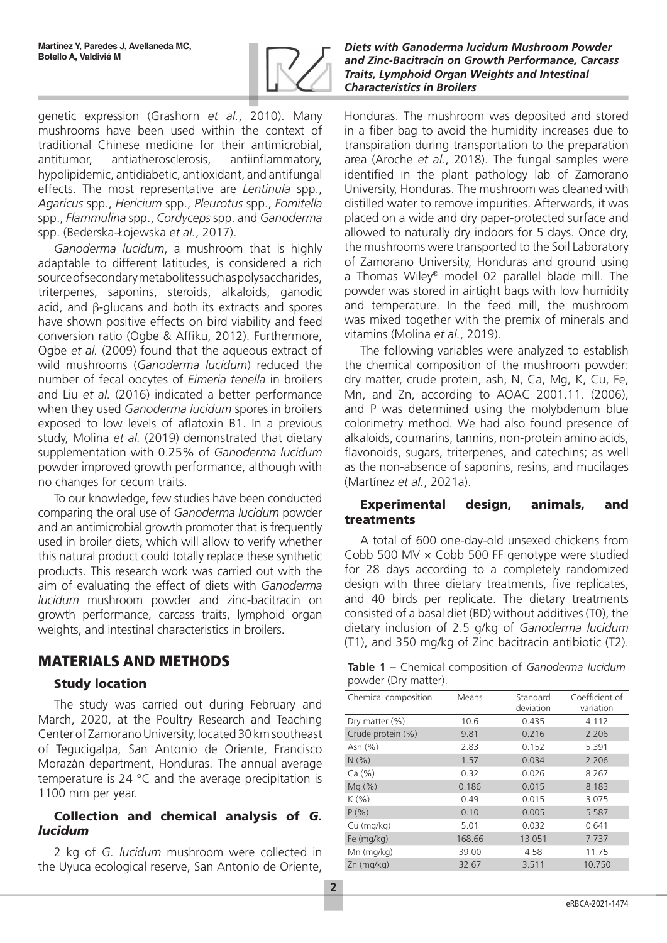

genetic expression (Grashorn *et al.*, 2010). Many mushrooms have been used within the context of traditional Chinese medicine for their antimicrobial, antitumor, antiatherosclerosis, antiinflammatory, hypolipidemic, antidiabetic, antioxidant, and antifungal effects. The most representative are *Lentinula* spp., *Agaricus* spp., *Hericium* spp., *Pleurotus* spp., *Fomitella* spp., *Flammulina* spp., *Cordyceps* spp. and *Ganoderma* spp. (Bederska-Łojewska *et al.*, 2017).

*Ganoderma lucidum*, a mushroom that is highly adaptable to different latitudes, is considered a rich source of secondary metabolites such as polysaccharides, triterpenes, saponins, steroids, alkaloids, ganodic acid, and β-glucans and both its extracts and spores have shown positive effects on bird viability and feed conversion ratio (Ogbe & Affiku, 2012). Furthermore, Ogbe *et al.* (2009) found that the aqueous extract of wild mushrooms (*Ganoderma lucidum*) reduced the number of fecal oocytes of *Eimeria tenella* in broilers and Liu *et al.* (2016) indicated a better performance when they used *Ganoderma lucidum* spores in broilers exposed to low levels of aflatoxin B1. In a previous study, Molina *et al.* (2019) demonstrated that dietary supplementation with 0.25% of *Ganoderma lucidum*  powder improved growth performance, although with no changes for cecum traits.

To our knowledge, few studies have been conducted comparing the oral use of *Ganoderma lucidum* powder and an antimicrobial growth promoter that is frequently used in broiler diets, which will allow to verify whether this natural product could totally replace these synthetic products. This research work was carried out with the aim of evaluating the effect of diets with *Ganoderma lucidum* mushroom powder and zinc-bacitracin on growth performance, carcass traits, lymphoid organ weights, and intestinal characteristics in broilers.

# MATERIALS AND METHODS

## Study location

The study was carried out during February and March, 2020, at the Poultry Research and Teaching Center of Zamorano University, located 30 km southeast of Tegucigalpa, San Antonio de Oriente, Francisco Morazán department, Honduras. The annual average temperature is 24 °C and the average precipitation is 1100 mm per year.

### Collection and chemical analysis of *G. lucidum*

2 kg of *G. lucidum* mushroom were collected in the Uyuca ecological reserve, San Antonio de Oriente,

*Diets with Ganoderma lucidum Mushroom Powder and Zinc-Bacitracin on Growth Performance, Carcass Traits, Lymphoid Organ Weights and Intestinal Characteristics in Broilers*

Honduras. The mushroom was deposited and stored in a fiber bag to avoid the humidity increases due to transpiration during transportation to the preparation area (Aroche *et al.*, 2018). The fungal samples were identified in the plant pathology lab of Zamorano University, Honduras. The mushroom was cleaned with distilled water to remove impurities. Afterwards, it was placed on a wide and dry paper-protected surface and allowed to naturally dry indoors for 5 days. Once dry, the mushrooms were transported to the Soil Laboratory of Zamorano University, Honduras and ground using a Thomas Wiley® model 02 parallel blade mill. The powder was stored in airtight bags with low humidity and temperature. In the feed mill, the mushroom was mixed together with the premix of minerals and vitamins (Molina *et al.*, 2019).

The following variables were analyzed to establish the chemical composition of the mushroom powder: dry matter, crude protein, ash, N, Ca, Mg, K, Cu, Fe, Mn, and Zn, according to AOAC 2001.11. (2006), and P was determined using the molybdenum blue colorimetry method. We had also found presence of alkaloids, coumarins, tannins, non-protein amino acids, flavonoids, sugars, triterpenes, and catechins; as well as the non-absence of saponins, resins, and mucilages (Martínez *et al.*, 2021a).

### Experimental design, animals, and treatments

A total of 600 one-day-old unsexed chickens from Cobb 500 MV  $\times$  Cobb 500 FF genotype were studied for 28 days according to a completely randomized design with three dietary treatments, five replicates, and 40 birds per replicate. The dietary treatments consisted of a basal diet (BD) without additives (T0), the dietary inclusion of 2.5 g/kg of *Ganoderma lucidum* (T1), and 350 mg/kg of Zinc bacitracin antibiotic (T2).

| Table 1 - Chemical composition of Ganoderma lucidum |  |  |
|-----------------------------------------------------|--|--|
| powder (Dry matter).                                |  |  |

| Chemical composition | Means  | Standard<br>deviation | Coefficient of<br>variation |
|----------------------|--------|-----------------------|-----------------------------|
| Dry matter (%)       | 10.6   | 0.435                 | 4.112                       |
| Crude protein (%)    | 9.81   | 0.216                 | 2.206                       |
| Ash (%)              | 2.83   | 0.152                 | 5.391                       |
| N(% )                | 1.57   | 0.034                 | 2.206                       |
| Ca (%)               | 0.32   | 0.026                 | 8.267                       |
| Mq(%)                | 0.186  | 0.015                 | 8.183                       |
| K(%)                 | 0.49   | 0.015                 | 3.075                       |
| $P($ %)              | 0.10   | 0.005                 | 5.587                       |
| $Cu$ (mg/kg)         | 5.01   | 0.032                 | 0.641                       |
| Fe (mg/kg)           | 168.66 | 13.051                | 7.737                       |
| $Mn$ (mg/kg)         | 39.00  | 4.58                  | 11.75                       |
| $Zn$ (mg/ $kq$ )     | 32.67  | 3.511                 | 10.750                      |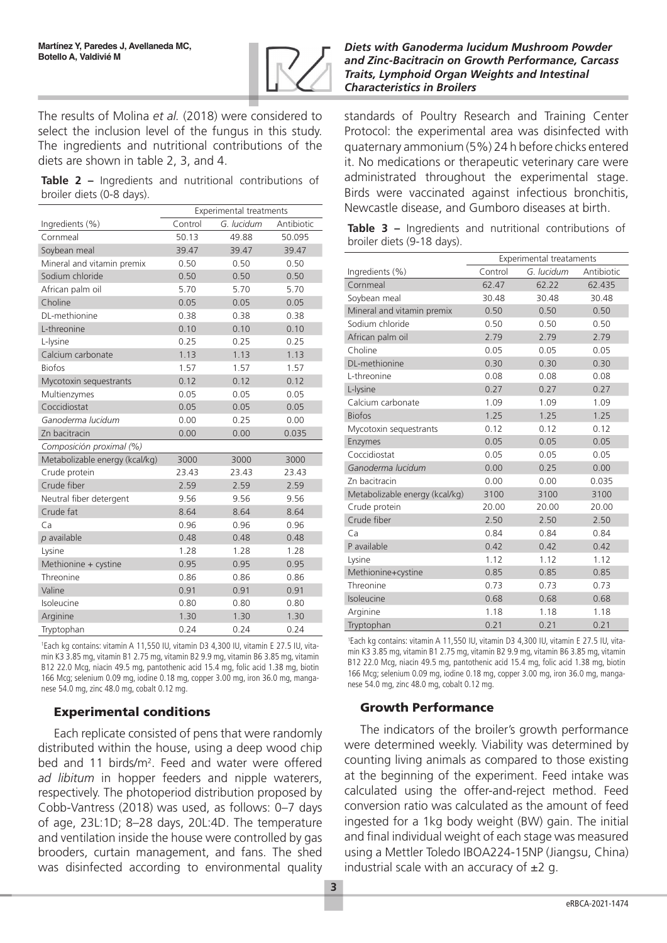

The results of Molina *et al.* (2018) were considered to select the inclusion level of the fungus in this study. The ingredients and nutritional contributions of the diets are shown in table 2, 3, and 4.

**Table 2 –** Ingredients and nutritional contributions of broiler diets (0-8 days).

|                                | <b>Experimental treatments</b> |            |            |  |  |
|--------------------------------|--------------------------------|------------|------------|--|--|
| Ingredients (%)                | Control                        | G. lucidum | Antibiotic |  |  |
| Cornmeal                       | 50.13                          | 49.88      | 50.095     |  |  |
| Soybean meal                   | 39.47                          | 39.47      | 39.47      |  |  |
| Mineral and vitamin premix     | 0.50                           | 0.50       | 0.50       |  |  |
| Sodium chloride                | 0.50                           | 0.50       | 0.50       |  |  |
| African palm oil               | 5.70                           | 5.70       | 5.70       |  |  |
| Choline                        | 0.05                           | 0.05       | 0.05       |  |  |
| DL-methionine                  | 0.38                           | 0.38       | 0.38       |  |  |
| L-threonine                    | 0.10                           | 0.10       | 0.10       |  |  |
| L-lysine                       | 0.25                           | 0.25       | 0.25       |  |  |
| Calcium carbonate              | 1.13                           | 1.13       | 1.13       |  |  |
| <b>Biofos</b>                  | 1.57                           | 1.57       | 1.57       |  |  |
| Mycotoxin sequestrants         | 0.12                           | 0.12       | 0.12       |  |  |
| Multienzymes                   | 0.05                           | 0.05       | 0.05       |  |  |
| Coccidiostat                   | 0.05                           | 0.05       | 0.05       |  |  |
| Ganoderma lucidum              | 0.00                           | 0.25       | 0.00       |  |  |
| Zn bacitracin                  | 0.00                           | 0.00       | 0.035      |  |  |
| Composición proximal (%)       |                                |            |            |  |  |
| Metabolizable energy (kcal/kg) | 3000                           | 3000       | 3000       |  |  |
| Crude protein                  | 23.43                          | 23.43      | 23.43      |  |  |
| Crude fiber                    | 2.59                           | 2.59       | 2.59       |  |  |
| Neutral fiber detergent        | 9.56                           | 9.56       | 9.56       |  |  |
| Crude fat                      | 8.64                           | 8.64       | 8.64       |  |  |
| Ca                             | 0.96                           | 0.96       | 0.96       |  |  |
| $p$ available                  | 0.48                           | 0.48       | 0.48       |  |  |
| Lysine                         | 1.28                           | 1.28       | 1.28       |  |  |
| Methionine + cystine           | 0.95                           | 0.95       | 0.95       |  |  |
| Threonine                      | 0.86                           | 0.86       | 0.86       |  |  |
| Valine                         | 0.91                           | 0.91       | 0.91       |  |  |
| Isoleucine                     | 0.80                           | 0.80       | 0.80       |  |  |
| Arginine                       | 1.30                           | 1.30       | 1.30       |  |  |
| Tryptophan                     | 0.24                           | 0.24       | 0.24       |  |  |

1 Each kg contains: vitamin A 11,550 IU, vitamin D3 4,300 IU, vitamin E 27.5 IU, vitamin K3 3.85 mg, vitamin B1 2.75 mg, vitamin B2 9.9 mg, vitamin B6 3.85 mg, vitamin B12 22.0 Mcg, niacin 49.5 mg, pantothenic acid 15.4 mg, folic acid 1.38 mg, biotin 166 Mcg; selenium 0.09 mg, iodine 0.18 mg, copper 3.00 mg, iron 36.0 mg, manganese 54.0 mg, zinc 48.0 mg, cobalt 0.12 mg.

## Experimental conditions

Each replicate consisted of pens that were randomly distributed within the house, using a deep wood chip bed and 11 birds/m<sup>2</sup>. Feed and water were offered *ad libitum* in hopper feeders and nipple waterers, respectively. The photoperiod distribution proposed by Cobb-Vantress (2018) was used, as follows: 0–7 days of age, 23L:1D; 8–28 days, 20L:4D. The temperature and ventilation inside the house were controlled by gas brooders, curtain management, and fans. The shed was disinfected according to environmental quality

#### *Diets with Ganoderma lucidum Mushroom Powder and Zinc-Bacitracin on Growth Performance, Carcass Traits, Lymphoid Organ Weights and Intestinal Characteristics in Broilers*

standards of Poultry Research and Training Center Protocol: the experimental area was disinfected with quaternary ammonium (5%) 24 h before chicks entered it. No medications or therapeutic veterinary care were administrated throughout the experimental stage. Birds were vaccinated against infectious bronchitis, Newcastle disease, and Gumboro diseases at birth.

|  |                            |  | Table 3 – Ingredients and nutritional contributions of |  |
|--|----------------------------|--|--------------------------------------------------------|--|
|  | broiler diets (9-18 days). |  |                                                        |  |

|                                | Experimental treataments |            |            |  |  |
|--------------------------------|--------------------------|------------|------------|--|--|
| Ingredients (%)                | Control                  | G. lucidum | Antibiotic |  |  |
| Cornmeal                       | 62.47                    | 62.22      | 62.435     |  |  |
| Soybean meal                   | 30.48                    | 30.48      | 30.48      |  |  |
| Mineral and vitamin premix     | 0.50                     | 0.50       | 0.50       |  |  |
| Sodium chloride                | 0.50                     | 0.50       | 0.50       |  |  |
| African palm oil               | 2.79                     | 2.79       | 2.79       |  |  |
| Choline                        | 0.05                     | 0.05       | 0.05       |  |  |
| DL-methionine                  | 0.30                     | 0.30       | 0.30       |  |  |
| L-threonine                    | 0.08                     | 0.08       | 0.08       |  |  |
| L-lysine                       | 0.27                     | 0.27       | 0.27       |  |  |
| Calcium carbonate              | 1.09                     | 1.09       | 1.09       |  |  |
| <b>Biofos</b>                  | 1.25                     | 1.25       | 1.25       |  |  |
| Mycotoxin sequestrants         | 0.12                     | 0.12       | 0.12       |  |  |
| Enzymes                        | 0.05                     | 0.05       | 0.05       |  |  |
| Coccidiostat                   | 0.05                     | 0.05       | 0.05       |  |  |
| Ganoderma lucidum              | 0.00                     | 0.25       | 0.00       |  |  |
| Zn bacitracin                  | 0.00                     | 0.00       | 0.035      |  |  |
| Metabolizable energy (kcal/kg) | 3100                     | 3100       | 3100       |  |  |
| Crude protein                  | 20.00                    | 20.00      | 20.00      |  |  |
| Crude fiber                    | 2.50                     | 2.50       | 2.50       |  |  |
| Ca                             | 0.84                     | 0.84       | 0.84       |  |  |
| P available                    | 0.42                     | 0.42       | 0.42       |  |  |
| Lysine                         | 1.12                     | 1.12       | 1.12       |  |  |
| Methionine+cystine             | 0.85                     | 0.85       | 0.85       |  |  |
| Threonine                      | 0.73                     | 0.73       | 0.73       |  |  |
| Isoleucine                     | 0.68                     | 0.68       | 0.68       |  |  |
| Arginine                       | 1.18                     | 1.18       | 1.18       |  |  |
| Tryptophan                     | 0.21                     | 0.21       | 0.21       |  |  |

1 Each kg contains: vitamin A 11,550 IU, vitamin D3 4,300 IU, vitamin E 27.5 IU, vitamin K3 3.85 mg, vitamin B1 2.75 mg, vitamin B2 9.9 mg, vitamin B6 3.85 mg, vitamin B12 22.0 Mcg, niacin 49.5 mg, pantothenic acid 15.4 mg, folic acid 1.38 mg, biotin 166 Mcg; selenium 0.09 mg, iodine 0.18 mg, copper 3.00 mg, iron 36.0 mg, manganese 54.0 mg, zinc 48.0 mg, cobalt 0.12 mg.

## Growth Performance

The indicators of the broiler's growth performance were determined weekly. Viability was determined by counting living animals as compared to those existing at the beginning of the experiment. Feed intake was calculated using the offer-and-reject method. Feed conversion ratio was calculated as the amount of feed ingested for a 1kg body weight (BW) gain. The initial and final individual weight of each stage was measured using a Mettler Toledo IBOA224-15NP (Jiangsu, China) industrial scale with an accuracy of  $\pm 2$  g.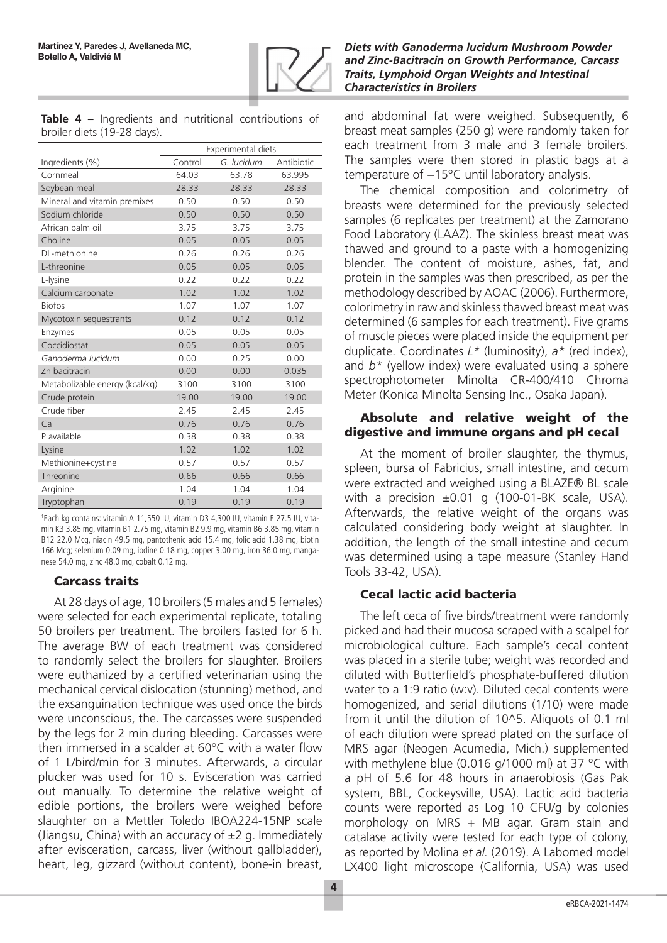

**Table 4 –** Ingredients and nutritional contributions of broiler diets (19-28 days).

|                                | Experimental diets |            |            |  |
|--------------------------------|--------------------|------------|------------|--|
| Ingredients (%)                | Control            | G. lucidum | Antibiotic |  |
| Cornmeal                       | 64.03              | 63.78      | 63.995     |  |
| Soybean meal                   | 28.33              | 28.33      | 28.33      |  |
| Mineral and vitamin premixes   | 0.50               | 0.50       | 0.50       |  |
| Sodium chloride                | 0.50               | 0.50       | 0.50       |  |
| African palm oil               | 3.75               | 3.75       | 3.75       |  |
| Choline                        | 0.05               | 0.05       | 0.05       |  |
| DL-methionine                  | 0.26               | 0.26       | 0.26       |  |
| L-threonine                    | 0.05               | 0.05       | 0.05       |  |
| L-lysine                       | 0.22               | 0.22       | 0.22       |  |
| Calcium carbonate              | 1.02               | 1.02       | 1.02       |  |
| <b>Biofos</b>                  | 1.07               | 1.07       | 1.07       |  |
| Mycotoxin sequestrants         | 0.12               | 0.12       | 0.12       |  |
| Enzymes                        | 0.05               | 0.05       | 0.05       |  |
| Coccidiostat                   | 0.05               | 0.05       | 0.05       |  |
| Ganoderma lucidum              | 0.00               | 0.25       | 0.00       |  |
| Zn bacitracin                  | 0.00               | 0.00       | 0.035      |  |
| Metabolizable energy (kcal/kg) | 3100               | 3100       | 3100       |  |
| Crude protein                  | 19.00              | 19.00      | 19.00      |  |
| Crude fiber                    | 2.45               | 2.45       | 2.45       |  |
| Ca                             | 0.76               | 0.76       | 0.76       |  |
| P available                    | 0.38               | 0.38       | 0.38       |  |
| Lysine                         | 1.02               | 1.02       | 1.02       |  |
| Methionine+cystine             | 0.57               | 0.57       | 0.57       |  |
| Threonine                      | 0.66               | 0.66       | 0.66       |  |
| Arginine                       | 1.04               | 1.04       | 1.04       |  |
| Tryptophan                     | 0.19               | 0.19       | 0.19       |  |

1 Each kg contains: vitamin A 11,550 IU, vitamin D3 4,300 IU, vitamin E 27.5 IU, vitamin K3 3.85 mg, vitamin B1 2.75 mg, vitamin B2 9.9 mg, vitamin B6 3.85 mg, vitamin B12 22.0 Mcg, niacin 49.5 mg, pantothenic acid 15.4 mg, folic acid 1.38 mg, biotin 166 Mcg; selenium 0.09 mg, iodine 0.18 mg, copper 3.00 mg, iron 36.0 mg, manganese 54.0 mg, zinc 48.0 mg, cobalt 0.12 mg.

## Carcass traits

At 28 days of age, 10 broilers (5 males and 5 females) were selected for each experimental replicate, totaling 50 broilers per treatment. The broilers fasted for 6 h. The average BW of each treatment was considered to randomly select the broilers for slaughter. Broilers were euthanized by a certified veterinarian using the mechanical cervical dislocation (stunning) method, and the exsanguination technique was used once the birds were unconscious, the. The carcasses were suspended by the legs for 2 min during bleeding. Carcasses were then immersed in a scalder at 60°C with a water flow of 1 L/bird/min for 3 minutes. Afterwards, a circular plucker was used for 10 s. Evisceration was carried out manually. To determine the relative weight of edible portions, the broilers were weighed before slaughter on a Mettler Toledo IBOA224-15NP scale (Jiangsu, China) with an accuracy of  $\pm 2$  g. Immediately after evisceration, carcass, liver (without gallbladder), heart, leg, gizzard (without content), bone-in breast,

#### *Diets with Ganoderma lucidum Mushroom Powder and Zinc-Bacitracin on Growth Performance, Carcass Traits, Lymphoid Organ Weights and Intestinal Characteristics in Broilers*

and abdominal fat were weighed. Subsequently, 6 breast meat samples (250 g) were randomly taken for each treatment from 3 male and 3 female broilers. The samples were then stored in plastic bags at a temperature of −15°C until laboratory analysis.

The chemical composition and colorimetry of breasts were determined for the previously selected samples (6 replicates per treatment) at the Zamorano Food Laboratory (LAAZ). The skinless breast meat was thawed and ground to a paste with a homogenizing blender. The content of moisture, ashes, fat, and protein in the samples was then prescribed, as per the methodology described by AOAC (2006). Furthermore, colorimetry in raw and skinless thawed breast meat was determined (6 samples for each treatment). Five grams of muscle pieces were placed inside the equipment per duplicate. Coordinates *L\** (luminosity), *a\** (red index), and *b\** (yellow index) were evaluated using a sphere spectrophotometer Minolta CR-400/410 Chroma Meter (Konica Minolta Sensing Inc., Osaka Japan).

### Absolute and relative weight of the digestive and immune organs and pH cecal

At the moment of broiler slaughter, the thymus, spleen, bursa of Fabricius, small intestine, and cecum were extracted and weighed using a BLAZE® BL scale with a precision ±0.01 g (100-01-BK scale, USA). Afterwards, the relative weight of the organs was calculated considering body weight at slaughter. In addition, the length of the small intestine and cecum was determined using a tape measure (Stanley Hand Tools 33-42, USA).

## Cecal lactic acid bacteria

The left ceca of five birds/treatment were randomly picked and had their mucosa scraped with a scalpel for microbiological culture. Each sample's cecal content was placed in a sterile tube; weight was recorded and diluted with Butterfield's phosphate-buffered dilution water to a 1:9 ratio (w:v). Diluted cecal contents were homogenized, and serial dilutions (1/10) were made from it until the dilution of 10^5. Aliquots of 0.1 ml of each dilution were spread plated on the surface of MRS agar (Neogen Acumedia, Mich.) supplemented with methylene blue (0.016 g/1000 ml) at 37 °C with a pH of 5.6 for 48 hours in anaerobiosis (Gas Pak system, BBL, Cockeysville, USA). Lactic acid bacteria counts were reported as Log 10 CFU/g by colonies morphology on MRS + MB agar. Gram stain and catalase activity were tested for each type of colony, as reported by Molina *et al.* (2019). A Labomed model LX400 light microscope (California, USA) was used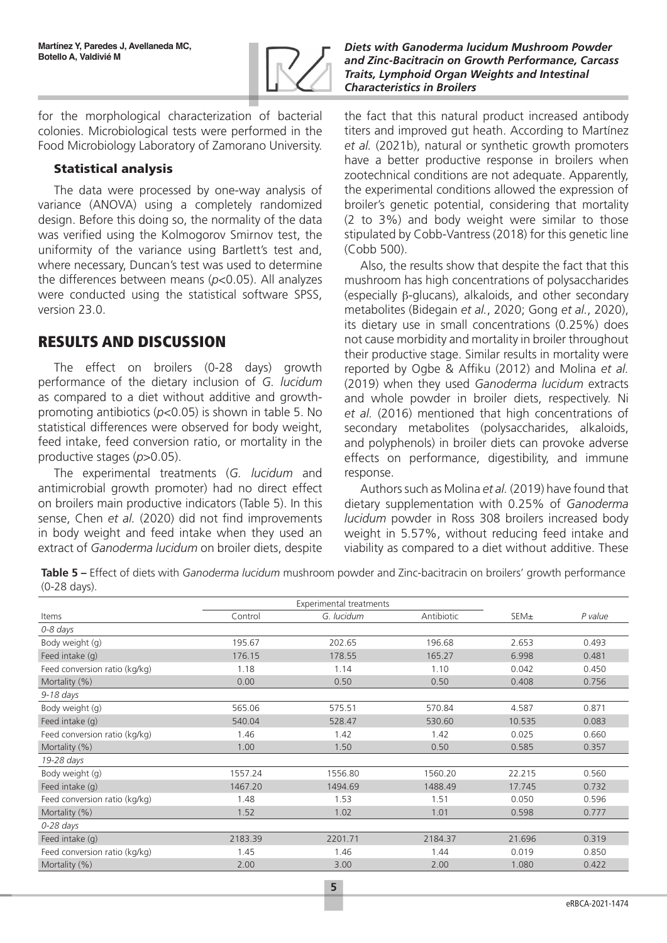

for the morphological characterization of bacterial colonies. Microbiological tests were performed in the Food Microbiology Laboratory of Zamorano University.

### Statistical analysis

The data were processed by one-way analysis of variance (ANOVA) using a completely randomized design. Before this doing so, the normality of the data was verified using the Kolmogorov Smirnov test, the uniformity of the variance using Bartlett's test and, where necessary, Duncan's test was used to determine the differences between means (*p*<0.05). All analyzes were conducted using the statistical software SPSS, version 23.0.

# RESULTS AND DISCUSSION

The effect on broilers (0-28 days) growth performance of the dietary inclusion of *G. lucidum* as compared to a diet without additive and growthpromoting antibiotics (*p*<0.05) is shown in table 5. No statistical differences were observed for body weight, feed intake, feed conversion ratio, or mortality in the productive stages (*p*>0.05).

The experimental treatments (*G. lucidum* and antimicrobial growth promoter) had no direct effect on broilers main productive indicators (Table 5). In this sense, Chen *et al.* (2020) did not find improvements in body weight and feed intake when they used an extract of *Ganoderma lucidum* on broiler diets, despite

*Diets with Ganoderma lucidum Mushroom Powder and Zinc-Bacitracin on Growth Performance, Carcass Traits, Lymphoid Organ Weights and Intestinal Characteristics in Broilers*

the fact that this natural product increased antibody titers and improved gut heath. According to Martínez *et al.* (2021b), natural or synthetic growth promoters have a better productive response in broilers when zootechnical conditions are not adequate. Apparently, the experimental conditions allowed the expression of broiler's genetic potential, considering that mortality (2 to 3%) and body weight were similar to those stipulated by Cobb-Vantress (2018) for this genetic line (Cobb 500).

Also, the results show that despite the fact that this mushroom has high concentrations of polysaccharides (especially β-glucans), alkaloids, and other secondary metabolites (Bidegain *et al.*, 2020; Gong *et al.*, 2020), its dietary use in small concentrations (0.25%) does not cause morbidity and mortality in broiler throughout their productive stage. Similar results in mortality were reported by Ogbe & Affiku (2012) and Molina *et al.* (2019) when they used *Ganoderma lucidum* extracts and whole powder in broiler diets, respectively. Ni *et al.* (2016) mentioned that high concentrations of secondary metabolites (polysaccharides, alkaloids, and polyphenols) in broiler diets can provoke adverse effects on performance, digestibility, and immune response.

Authors such as Molina *et al.* (2019) have found that dietary supplementation with 0.25% of *Ganoderma lucidum* powder in Ross 308 broilers increased body weight in 5.57%, without reducing feed intake and viability as compared to a diet without additive. These

**Table 5 –** Effect of diets with *Ganoderma lucidum* mushroom powder and Zinc-bacitracin on broilers' growth performance (0-28 days).

|                               | <b>Experimental treatments</b> |            |            |        |         |
|-------------------------------|--------------------------------|------------|------------|--------|---------|
| Items                         | Control                        | G. lucidum | Antibiotic | SEM±   | P value |
| 0-8 days                      |                                |            |            |        |         |
| Body weight (g)               | 195.67                         | 202.65     | 196.68     | 2.653  | 0.493   |
| Feed intake (g)               | 176.15                         | 178.55     | 165.27     | 6.998  | 0.481   |
| Feed conversion ratio (kg/kg) | 1.18                           | 1.14       | 1.10       | 0.042  | 0.450   |
| Mortality (%)                 | 0.00                           | 0.50       | 0.50       | 0.408  | 0.756   |
| $9-18$ days                   |                                |            |            |        |         |
| Body weight (g)               | 565.06                         | 575.51     | 570.84     | 4.587  | 0.871   |
| Feed intake (g)               | 540.04                         | 528.47     | 530.60     | 10.535 | 0.083   |
| Feed conversion ratio (kg/kg) | 1.46                           | 1.42       | 1.42       | 0.025  | 0.660   |
| Mortality (%)                 | 1.00                           | 1.50       | 0.50       | 0.585  | 0.357   |
| 19-28 days                    |                                |            |            |        |         |
| Body weight (g)               | 1557.24                        | 1556.80    | 1560.20    | 22.215 | 0.560   |
| Feed intake (g)               | 1467.20                        | 1494.69    | 1488.49    | 17.745 | 0.732   |
| Feed conversion ratio (kg/kg) | 1.48                           | 1.53       | 1.51       | 0.050  | 0.596   |
| Mortality (%)                 | 1.52                           | 1.02       | 1.01       | 0.598  | 0.777   |
| $0-28$ days                   |                                |            |            |        |         |
| Feed intake (g)               | 2183.39                        | 2201.71    | 2184.37    | 21.696 | 0.319   |
| Feed conversion ratio (kg/kg) | 1.45                           | 1.46       | 1.44       | 0.019  | 0.850   |
| Mortality (%)                 | 2.00                           | 3.00       | 2.00       | 1.080  | 0.422   |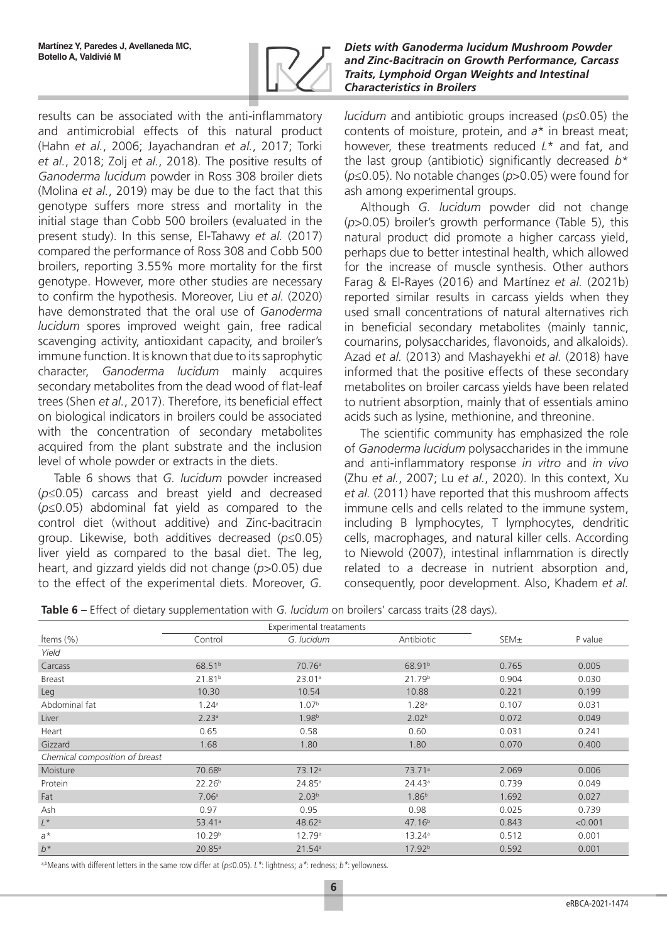

results can be associated with the anti-inflammatory and antimicrobial effects of this natural product (Hahn *et al.*, 2006; Jayachandran *et al.*, 2017; Torki *et al.*, 2018; Zolj *et al.*, 2018). The positive results of *Ganoderma lucidum* powder in Ross 308 broiler diets (Molina *et al.*, 2019) may be due to the fact that this genotype suffers more stress and mortality in the initial stage than Cobb 500 broilers (evaluated in the present study). In this sense, El-Tahawy *et al.* (2017) compared the performance of Ross 308 and Cobb 500 broilers, reporting 3.55% more mortality for the first genotype. However, more other studies are necessary to confirm the hypothesis. Moreover, Liu *et al.* (2020) have demonstrated that the oral use of *Ganoderma lucidum* spores improved weight gain, free radical scavenging activity, antioxidant capacity, and broiler's immune function. It is known that due to its saprophytic character, *Ganoderma lucidum* mainly acquires secondary metabolites from the dead wood of flat-leaf trees (Shen *et al.*, 2017). Therefore, its beneficial effect on biological indicators in broilers could be associated with the concentration of secondary metabolites acquired from the plant substrate and the inclusion level of whole powder or extracts in the diets.

Table 6 shows that *G. lucidum* powder increased (*p*≤0.05) carcass and breast yield and decreased (*p*≤0.05) abdominal fat yield as compared to the control diet (without additive) and Zinc-bacitracin group. Likewise, both additives decreased (*p*≤0.05) liver yield as compared to the basal diet. The leg, heart, and gizzard yields did not change (*p*>0.05) due to the effect of the experimental diets. Moreover, *G.* 

#### *Diets with Ganoderma lucidum Mushroom Powder and Zinc-Bacitracin on Growth Performance, Carcass Traits, Lymphoid Organ Weights and Intestinal Characteristics in Broilers*

*lucidum* and antibiotic groups increased (*p*≤0.05) the contents of moisture, protein, and *a*\* in breast meat; however, these treatments reduced *L*\* and fat, and the last group (antibiotic) significantly decreased *b*\* (*p*≤0.05). No notable changes (*p*>0.05) were found for ash among experimental groups.

Although *G. lucidum* powder did not change (*p*>0.05) broiler's growth performance (Table 5), this natural product did promote a higher carcass yield, perhaps due to better intestinal health, which allowed for the increase of muscle synthesis. Other authors Farag & El-Rayes (2016) and Martínez *et al.* (2021b) reported similar results in carcass yields when they used small concentrations of natural alternatives rich in beneficial secondary metabolites (mainly tannic, coumarins, polysaccharides, flavonoids, and alkaloids). Azad *et al.* (2013) and Mashayekhi *et al.* (2018) have informed that the positive effects of these secondary metabolites on broiler carcass yields have been related to nutrient absorption, mainly that of essentials amino acids such as lysine, methionine, and threonine.

The scientific community has emphasized the role of *Ganoderma lucidum* polysaccharides in the immune and anti-inflammatory response *in vitro* and *in vivo* (Zhu *et al.*, 2007; Lu *et al.*, 2020). In this context, Xu *et al.* (2011) have reported that this mushroom affects immune cells and cells related to the immune system, including B lymphocytes, T lymphocytes, dendritic cells, macrophages, and natural killer cells. According to Niewold (2007), intestinal inflammation is directly related to a decrease in nutrient absorption and, consequently, poor development. Also, Khadem *et al.*

| <b>Table 6 –</b> Effect of dietary supplementation with G. lucidum on broilers' carcass traits (28 days). |  |  |
|-----------------------------------------------------------------------------------------------------------|--|--|
|-----------------------------------------------------------------------------------------------------------|--|--|

|                                |                    | Experimental treataments |                    |       |         |
|--------------------------------|--------------------|--------------------------|--------------------|-------|---------|
| Items (%)                      | Control            | G. lucidum               | Antibiotic         | SEM±  | P value |
| Yield                          |                    |                          |                    |       |         |
| Carcass                        | 68.51 <sup>b</sup> | 70.76 <sup>a</sup>       | 68.91 <sup>b</sup> | 0.765 | 0.005   |
| <b>Breast</b>                  | 21.81 <sup>b</sup> | 23.01a                   | 21.79 <sup>b</sup> | 0.904 | 0.030   |
| Leg                            | 10.30              | 10.54                    | 10.88              | 0.221 | 0.199   |
| Abdominal fat                  | 1.24 <sup>a</sup>  | 1.07 <sup>b</sup>        | 1.28 <sup>a</sup>  | 0.107 | 0.031   |
| Liver                          | 2.23a              | 1.98 <sup>b</sup>        | 2.02 <sup>b</sup>  | 0.072 | 0.049   |
| Heart                          | 0.65               | 0.58                     | 0.60               | 0.031 | 0.241   |
| Gizzard                        | 1.68               | 1.80                     | 1.80               | 0.070 | 0.400   |
| Chemical composition of breast |                    |                          |                    |       |         |
| Moisture                       | 70.68 <sup>b</sup> | 73.12 <sup>a</sup>       | 73.71 <sup>a</sup> | 2.069 | 0.006   |
| Protein                        | 22.26 <sup>b</sup> | 24.85a                   | 24.43a             | 0.739 | 0.049   |
| Fat                            | 7.06 <sup>a</sup>  | 2.03 <sup>b</sup>        | 1.86 <sup>b</sup>  | 1.692 | 0.027   |
| Ash                            | 0.97               | 0.95                     | 0.98               | 0.025 | 0.739   |
| $L^*$                          | 53.41a             | 48.62 <sup>b</sup>       | 47.16 <sup>b</sup> | 0.843 | < 0.001 |
| $a^*$                          | 10.29 <sup>b</sup> | 12.79 <sup>a</sup>       | 13.24a             | 0.512 | 0.001   |
| $b^*$                          | 20.85a             | 21.54a                   | 17.92 <sup>b</sup> | 0.592 | 0.001   |

a,bMeans with different letters in the same row differ at ( $p \le 0.05$ ). L\*: lightness;  $a^*$ : redness;  $b^*$ : yellowness.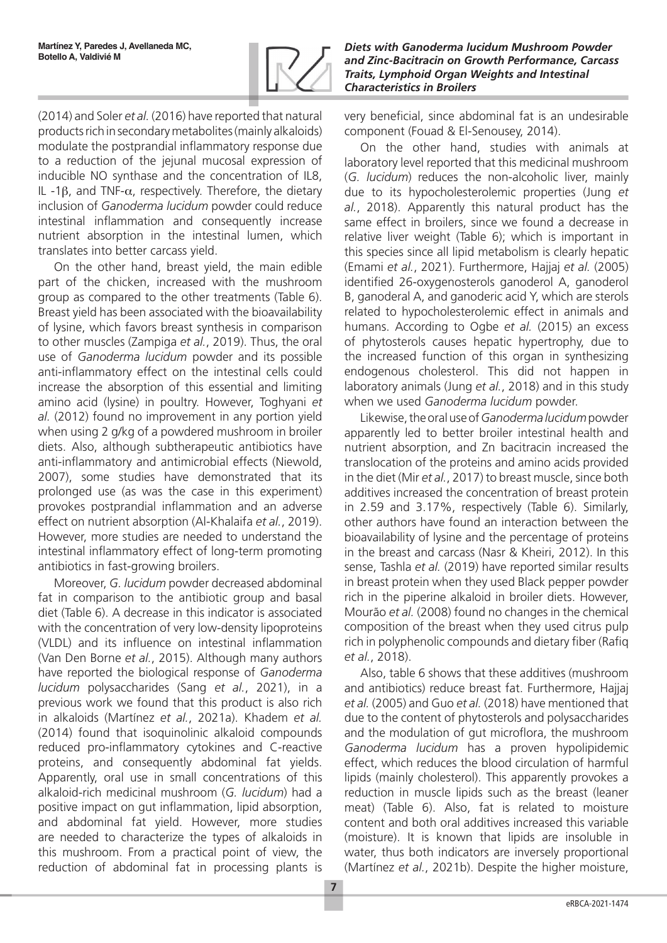

(2014) and Soler *et al.* (2016) have reported that natural products rich in secondary metabolites (mainly alkaloids) modulate the postprandial inflammatory response due to a reduction of the jejunal mucosal expression of inducible NO synthase and the concentration of IL8, IL -1β, and TNF-α, respectively. Therefore, the dietary inclusion of *Ganoderma lucidum* powder could reduce intestinal inflammation and consequently increase nutrient absorption in the intestinal lumen, which translates into better carcass yield.

On the other hand, breast yield, the main edible part of the chicken, increased with the mushroom group as compared to the other treatments (Table 6). Breast yield has been associated with the bioavailability of lysine, which favors breast synthesis in comparison to other muscles (Zampiga *et al.*, 2019). Thus, the oral use of *Ganoderma lucidum* powder and its possible anti-inflammatory effect on the intestinal cells could increase the absorption of this essential and limiting amino acid (lysine) in poultry. However, Toghyani *et al.* (2012) found no improvement in any portion yield when using 2 g/kg of a powdered mushroom in broiler diets. Also, although subtherapeutic antibiotics have anti-inflammatory and antimicrobial effects (Niewold, 2007), some studies have demonstrated that its prolonged use (as was the case in this experiment) provokes postprandial inflammation and an adverse effect on nutrient absorption (Al-Khalaifa *et al.*, 2019). However, more studies are needed to understand the intestinal inflammatory effect of long-term promoting antibiotics in fast-growing broilers.

Moreover, *G. lucidum* powder decreased abdominal fat in comparison to the antibiotic group and basal diet (Table 6). A decrease in this indicator is associated with the concentration of very low-density lipoproteins (VLDL) and its influence on intestinal inflammation (Van Den Borne *et al.*, 2015). Although many authors have reported the biological response of *Ganoderma lucidum* polysaccharides (Sang *et al.*, 2021), in a previous work we found that this product is also rich in alkaloids (Martínez *et al.*, 2021a). Khadem *et al.* (2014) found that isoquinolinic alkaloid compounds reduced pro-inflammatory cytokines and C-reactive proteins, and consequently abdominal fat yields. Apparently, oral use in small concentrations of this alkaloid-rich medicinal mushroom (*G. lucidum*) had a positive impact on gut inflammation, lipid absorption, and abdominal fat yield. However, more studies are needed to characterize the types of alkaloids in this mushroom. From a practical point of view, the reduction of abdominal fat in processing plants is very beneficial, since abdominal fat is an undesirable component (Fouad & El-Senousey, 2014).

On the other hand, studies with animals at laboratory level reported that this medicinal mushroom (*G. lucidum*) reduces the non-alcoholic liver, mainly due to its hypocholesterolemic properties (Jung *et al.*, 2018). Apparently this natural product has the same effect in broilers, since we found a decrease in relative liver weight (Table 6); which is important in this species since all lipid metabolism is clearly hepatic (Emami *et al.*, 2021). Furthermore, Hajjaj *et al.* (2005) identified 26-oxygenosterols ganoderol A, ganoderol B, ganoderal A, and ganoderic acid Y, which are sterols related to hypocholesterolemic effect in animals and humans. According to Ogbe *et al.* (2015) an excess of phytosterols causes hepatic hypertrophy, due to the increased function of this organ in synthesizing endogenous cholesterol. This did not happen in laboratory animals (Jung *et al.*, 2018) and in this study when we used *Ganoderma lucidum* powder.

Likewise, the oral use of *Ganoderma lucidum* powder apparently led to better broiler intestinal health and nutrient absorption, and Zn bacitracin increased the translocation of the proteins and amino acids provided in the diet (Mir *et al.*, 2017) to breast muscle, since both additives increased the concentration of breast protein in 2.59 and 3.17%, respectively (Table 6). Similarly, other authors have found an interaction between the bioavailability of lysine and the percentage of proteins in the breast and carcass (Nasr & Kheiri, 2012). In this sense, Tashla *et al.* (2019) have reported similar results in breast protein when they used Black pepper powder rich in the piperine alkaloid in broiler diets. However, Mourão *et al.* (2008) found no changes in the chemical composition of the breast when they used citrus pulp rich in polyphenolic compounds and dietary fiber (Rafiq *et al.*, 2018).

Also, table 6 shows that these additives (mushroom and antibiotics) reduce breast fat. Furthermore, Hajjaj *et al.* (2005) and Guo *et al.* (2018) have mentioned that due to the content of phytosterols and polysaccharides and the modulation of gut microflora, the mushroom *Ganoderma lucidum* has a proven hypolipidemic effect, which reduces the blood circulation of harmful lipids (mainly cholesterol). This apparently provokes a reduction in muscle lipids such as the breast (leaner meat) (Table 6). Also, fat is related to moisture content and both oral additives increased this variable (moisture). It is known that lipids are insoluble in water, thus both indicators are inversely proportional (Martínez *et al.*, 2021b). Despite the higher moisture,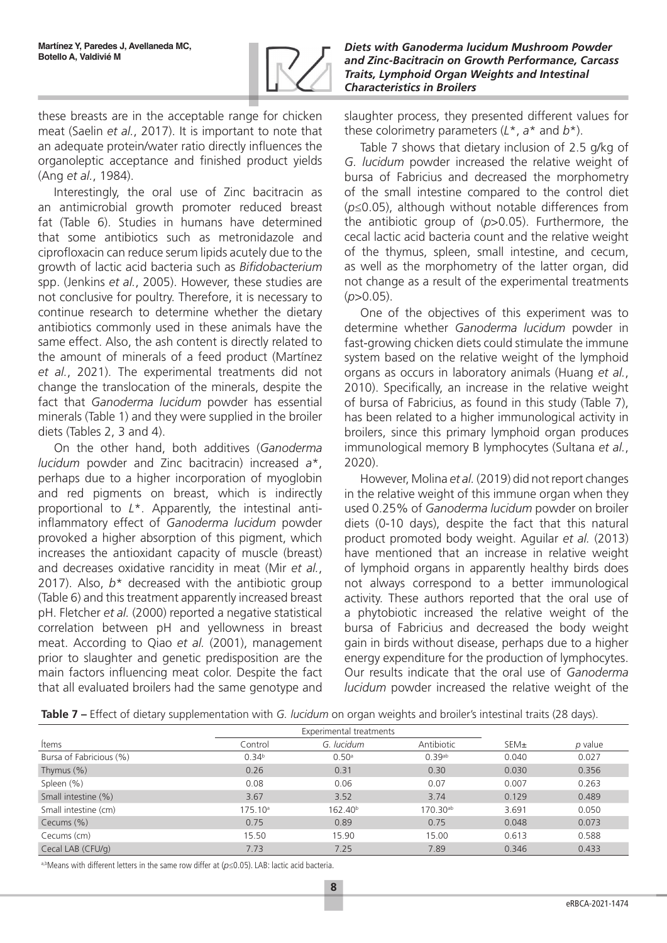

these breasts are in the acceptable range for chicken meat (Saelin *et al.*, 2017). It is important to note that an adequate protein/water ratio directly influences the organoleptic acceptance and finished product yields (Ang *et al.*, 1984).

Interestingly, the oral use of Zinc bacitracin as an antimicrobial growth promoter reduced breast fat (Table 6). Studies in humans have determined that some antibiotics such as metronidazole and ciprofloxacin can reduce serum lipids acutely due to the growth of lactic acid bacteria such as *Bifidobacterium* spp. (Jenkins *et al.*, 2005). However, these studies are not conclusive for poultry. Therefore, it is necessary to continue research to determine whether the dietary antibiotics commonly used in these animals have the same effect. Also, the ash content is directly related to the amount of minerals of a feed product (Martínez *et al.*, 2021). The experimental treatments did not change the translocation of the minerals, despite the fact that *Ganoderma lucidum* powder has essential minerals (Table 1) and they were supplied in the broiler diets (Tables 2, 3 and 4).

On the other hand, both additives (*Ganoderma lucidum* powder and Zinc bacitracin) increased *a*\*, perhaps due to a higher incorporation of myoglobin and red pigments on breast, which is indirectly proportional to *L*\*. Apparently, the intestinal antiinflammatory effect of *Ganoderma lucidum* powder provoked a higher absorption of this pigment, which increases the antioxidant capacity of muscle (breast) and decreases oxidative rancidity in meat (Mir *et al.*, 2017). Also,  $b^*$  decreased with the antibiotic group (Table 6) and this treatment apparently increased breast pH. Fletcher *et al.* (2000) reported a negative statistical correlation between pH and yellowness in breast meat. According to Qiao *et al.* (2001), management prior to slaughter and genetic predisposition are the main factors influencing meat color. Despite the fact that all evaluated broilers had the same genotype and

*Diets with Ganoderma lucidum Mushroom Powder and Zinc-Bacitracin on Growth Performance, Carcass Traits, Lymphoid Organ Weights and Intestinal Characteristics in Broilers*

slaughter process, they presented different values for these colorimetry parameters (*L*\*, *a*\* and *b*\*).

Table 7 shows that dietary inclusion of 2.5 g/kg of *G. lucidum* powder increased the relative weight of bursa of Fabricius and decreased the morphometry of the small intestine compared to the control diet (*p*≤0.05), although without notable differences from the antibiotic group of (*p*>0.05). Furthermore, the cecal lactic acid bacteria count and the relative weight of the thymus, spleen, small intestine, and cecum, as well as the morphometry of the latter organ, did not change as a result of the experimental treatments  $(p>0.05)$ .

One of the objectives of this experiment was to determine whether *Ganoderma lucidum* powder in fast-growing chicken diets could stimulate the immune system based on the relative weight of the lymphoid organs as occurs in laboratory animals (Huang *et al.*, 2010). Specifically, an increase in the relative weight of bursa of Fabricius, as found in this study (Table 7), has been related to a higher immunological activity in broilers, since this primary lymphoid organ produces immunological memory B lymphocytes (Sultana *et al.*, 2020).

However, Molina *et al.* (2019) did not report changes in the relative weight of this immune organ when they used 0.25% of *Ganoderma lucidum* powder on broiler diets (0-10 days), despite the fact that this natural product promoted body weight. Aguilar *et al.* (2013) have mentioned that an increase in relative weight of lymphoid organs in apparently healthy birds does not always correspond to a better immunological activity. These authors reported that the oral use of a phytobiotic increased the relative weight of the bursa of Fabricius and decreased the body weight gain in birds without disease, perhaps due to a higher energy expenditure for the production of lymphocytes. Our results indicate that the oral use of *Ganoderma lucidum* powder increased the relative weight of the

|  |  | Table 7 - Effect of dietary supplementation with G. lucidum on organ weights and broiler's intestinal traits (28 days). |  |
|--|--|-------------------------------------------------------------------------------------------------------------------------|--|
|  |  |                                                                                                                         |  |

|                         | Experimental treatments |                     |                      |       |         |
|-------------------------|-------------------------|---------------------|----------------------|-------|---------|
| Items                   | Control                 | G. lucidum          | Antibiotic           | SEM±  | p value |
| Bursa of Fabricious (%) | 0.34 <sup>b</sup>       | 0.50 <sup>a</sup>   | $0.39$ <sup>ab</sup> | 0.040 | 0.027   |
| Thymus $(\%)$           | 0.26                    | 0.31                | 0.30                 | 0.030 | 0.356   |
| Spleen (%)              | 0.08                    | 0.06                | 0.07                 | 0.007 | 0.263   |
| Small intestine (%)     | 3.67                    | 3.52                | 3.74                 | 0.129 | 0.489   |
| Small intestine (cm)    | $175.10^{\circ}$        | 162.40 <sup>b</sup> | 170.30 <sup>ab</sup> | 3.691 | 0.050   |
| Cecums (%)              | 0.75                    | 0.89                | 0.75                 | 0.048 | 0.073   |
| Cecums (cm)             | 15.50                   | 15.90               | 15.00                | 0.613 | 0.588   |
| Cecal LAB (CFU/g)       | 7.73                    | 7.25                | 7.89                 | 0.346 | 0.433   |

a,bMeans with different letters in the same row differ at (*p*≤0.05). LAB: lactic acid bacteria.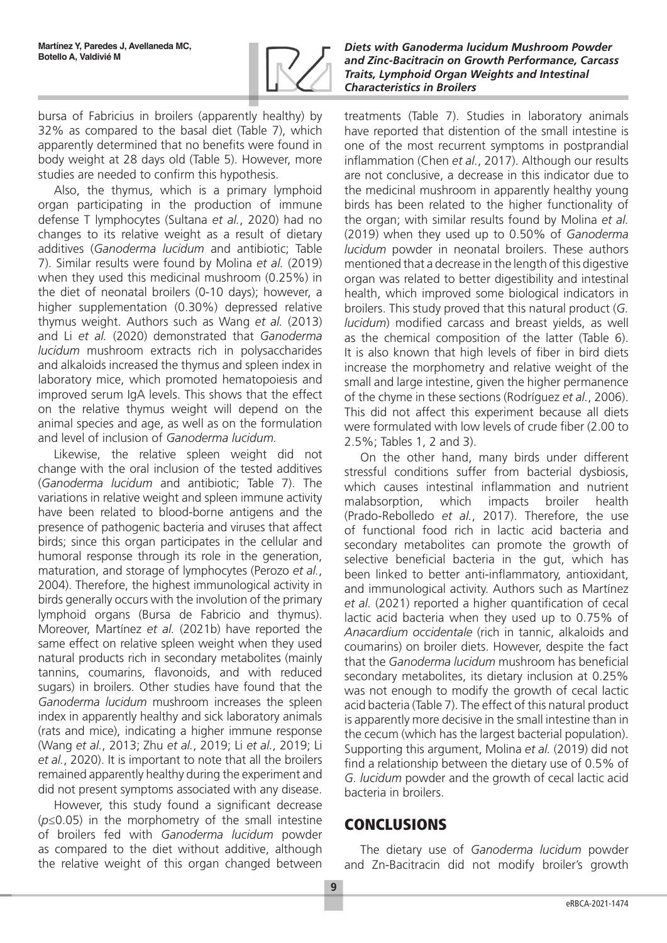

bursa of Fabricius in broilers (apparently healthy) by 32% as compared to the basal diet (Table 7), which apparently determined that no benefits were found in body weight at 28 days old (Table 5). However, more studies are needed to confirm this hypothesis.

Also, the thymus, which is a primary lymphoid organ participating in the production of immune defense T lymphocytes (Sultana *et al.*, 2020) had no changes to its relative weight as a result of dietary additives (*Ganoderma lucidum* and antibiotic; Table 7). Similar results were found by Molina *et al.* (2019) when they used this medicinal mushroom (0.25%) in the diet of neonatal broilers (0-10 days); however, a higher supplementation (0.30%) depressed relative thymus weight. Authors such as Wang *et al.* (2013) and Li *et al.* (2020) demonstrated that *Ganoderma lucidum* mushroom extracts rich in polysaccharides and alkaloids increased the thymus and spleen index in laboratory mice, which promoted hematopoiesis and improved serum IgA levels. This shows that the effect on the relative thymus weight will depend on the animal species and age, as well as on the formulation and level of inclusion of *Ganoderma lucidum.*

Likewise, the relative spleen weight did not change with the oral inclusion of the tested additives (*Ganoderma lucidum* and antibiotic; Table 7). The variations in relative weight and spleen immune activity have been related to blood-borne antigens and the presence of pathogenic bacteria and viruses that affect birds; since this organ participates in the cellular and humoral response through its role in the generation, maturation, and storage of lymphocytes (Perozo *et al.*, 2004). Therefore, the highest immunological activity in birds generally occurs with the involution of the primary lymphoid organs (Bursa de Fabricio and thymus). Moreover, Martínez *et al.* (2021b) have reported the same effect on relative spleen weight when they used natural products rich in secondary metabolites (mainly tannins, coumarins, flavonoids, and with reduced sugars) in broilers. Other studies have found that the *Ganoderma lucidum* mushroom increases the spleen index in apparently healthy and sick laboratory animals (rats and mice), indicating a higher immune response (Wang *et al.*, 2013; Zhu *et al.*, 2019; Li *et al.*, 2019; Li *et al.*, 2020). It is important to note that all the broilers remained apparently healthy during the experiment and did not present symptoms associated with any disease.

However, this study found a significant decrease (*p*≤0.05) in the morphometry of the small intestine of broilers fed with *Ganoderma lucidum* powder as compared to the diet without additive, although the relative weight of this organ changed between

*Diets with Ganoderma lucidum Mushroom Powder and Zinc-Bacitracin on Growth Performance, Carcass Traits, Lymphoid Organ Weights and Intestinal Characteristics in Broilers*

treatments (Table 7). Studies in laboratory animals have reported that distention of the small intestine is one of the most recurrent symptoms in postprandial inflammation (Chen *et al.*, 2017). Although our results are not conclusive, a decrease in this indicator due to the medicinal mushroom in apparently healthy young birds has been related to the higher functionality of the organ; with similar results found by Molina *et al.* (2019) when they used up to 0.50% of *Ganoderma lucidum* powder in neonatal broilers. These authors mentioned that a decrease in the length of this digestive organ was related to better digestibility and intestinal health, which improved some biological indicators in broilers. This study proved that this natural product (*G. lucidum*) modified carcass and breast yields, as well as the chemical composition of the latter (Table 6). It is also known that high levels of fiber in bird diets increase the morphometry and relative weight of the small and large intestine, given the higher permanence of the chyme in these sections (Rodríguez *et al.*, 2006). This did not affect this experiment because all diets were formulated with low levels of crude fiber (2.00 to 2.5%; Tables 1, 2 and 3).

On the other hand, many birds under different stressful conditions suffer from bacterial dysbiosis, which causes intestinal inflammation and nutrient malabsorption, which impacts broiler health (Prado-Rebolledo *et al.*, 2017). Therefore, the use of functional food rich in lactic acid bacteria and secondary metabolites can promote the growth of selective beneficial bacteria in the gut, which has been linked to better anti-inflammatory, antioxidant, and immunological activity. Authors such as Martínez *et al.* (2021) reported a higher quantification of cecal lactic acid bacteria when they used up to 0.75% of *Anacardium occidentale* (rich in tannic, alkaloids and coumarins) on broiler diets. However, despite the fact that the *Ganoderma lucidum* mushroom has beneficial secondary metabolites, its dietary inclusion at 0.25% was not enough to modify the growth of cecal lactic acid bacteria (Table 7). The effect of this natural product is apparently more decisive in the small intestine than in the cecum (which has the largest bacterial population). Supporting this argument, Molina *et al.* (2019) did not find a relationship between the dietary use of 0.5% of *G. lucidum* powder and the growth of cecal lactic acid bacteria in broilers.

# **CONCLUSIONS**

The dietary use of *Ganoderma lucidum* powder and Zn-Bacitracin did not modify broiler's growth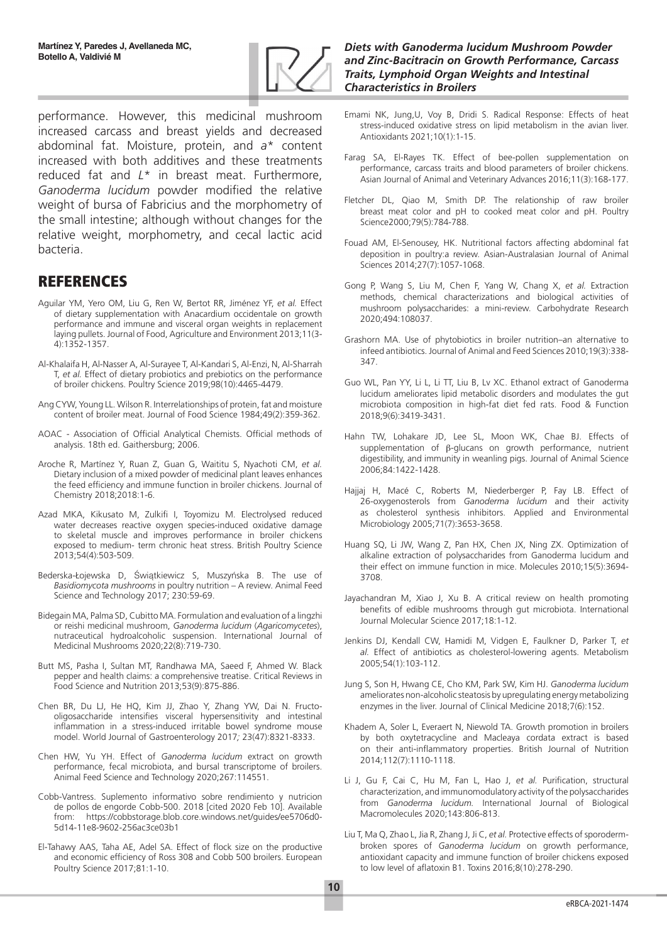

performance. However, this medicinal mushroom increased carcass and breast yields and decreased abdominal fat. Moisture, protein, and *a*\* content increased with both additives and these treatments reduced fat and *L*\* in breast meat. Furthermore, *Ganoderma lucidum* powder modified the relative weight of bursa of Fabricius and the morphometry of the small intestine; although without changes for the relative weight, morphometry, and cecal lactic acid bacteria.

# REFERENCES

- Aguilar YM, Yero OM, Liu G, Ren W, Bertot RR, Jiménez YF, *et al.* Effect of dietary supplementation with Anacardium occidentale on growth performance and immune and visceral organ weights in replacement laying pullets. Journal of Food, Agriculture and Environment 2013;11(3- 4):1352-1357.
- Al-Khalaifa H, Al-Nasser A, Al-Surayee T, Al-Kandari S, Al-Enzi, N, Al-Sharrah T, *et al.* Effect of dietary probiotics and prebiotics on the performance of broiler chickens. Poultry Science 2019;98(10):4465-4479.
- Ang CYW, Young LL. Wilson R. Interrelationships of protein, fat and moisture content of broiler meat. Journal of Food Science 1984;49(2):359-362.
- AOAC Association of Official Analytical Chemists. Official methods of analysis. 18th ed. Gaithersburg; 2006.
- Aroche R, Martínez Y, Ruan Z, Guan G, Waititu S, Nyachoti CM, *et al.* Dietary inclusion of a mixed powder of medicinal plant leaves enhances the feed efficiency and immune function in broiler chickens. Journal of Chemistry 2018;2018:1-6.
- Azad MKA, Kikusato M, Zulkifi I, Toyomizu M. Electrolysed reduced water decreases reactive oxygen species-induced oxidative damage to skeletal muscle and improves performance in broiler chickens exposed to medium- term chronic heat stress. British Poultry Science 2013;54(4):503-509.
- Bederska-Łojewska D, Świątkiewicz S, Muszyńska B. The use of *Basidiomycota mushrooms* in poultry nutrition – A review. Animal Feed Science and Technology 2017; 230:59-69.
- Bidegain MA, Palma SD, Cubitto MA. Formulation and evaluation of a lingzhi or reishi medicinal mushroom, *Ganoderma lucidum* (*Agaricomycetes*), nutraceutical hydroalcoholic suspension. International Journal of Medicinal Mushrooms 2020;22(8):719-730.
- Butt MS, Pasha I, Sultan MT, Randhawa MA, Saeed F, Ahmed W. Black pepper and health claims: a comprehensive treatise. Critical Reviews in Food Science and Nutrition 2013;53(9):875-886.
- Chen BR, Du LJ, He HQ, Kim JJ, Zhao Y, Zhang YW, Dai N. Fructooligosaccharide intensifies visceral hypersensitivity and intestinal inflammation in a stress-induced irritable bowel syndrome mouse model. World Journal of Gastroenterology 2017*;* 23(47):8321-8333.
- Chen HW, Yu YH. Effect of *Ganoderma lucidum* extract on growth performance, fecal microbiota, and bursal transcriptome of broilers. Animal Feed Science and Technology 2020;267:114551.
- Cobb-Vantress. Suplemento informativo sobre rendimiento y nutricion de pollos de engorde Cobb-500. 2018 [cited 2020 Feb 10]. Available from: https://cobbstorage.blob.core.windows.net/guides/ee5706d0- 5d14-11e8-9602-256ac3ce03b1
- El-Tahawy AAS, Taha AE, Adel SA. Effect of flock size on the productive and economic efficiency of Ross 308 and Cobb 500 broilers. European Poultry Science 2017;81:1-10.

#### *Diets with Ganoderma lucidum Mushroom Powder and Zinc-Bacitracin on Growth Performance, Carcass Traits, Lymphoid Organ Weights and Intestinal Characteristics in Broilers*

- Emami NK, Jung,U, Voy B, Dridi S. Radical Response: Effects of heat stress-induced oxidative stress on lipid metabolism in the avian liver. Antioxidants 2021;10(1):1-15.
- Farag SA, El-Rayes TK. Effect of bee-pollen supplementation on performance, carcass traits and blood parameters of broiler chickens. Asian Journal of Animal and Veterinary Advances 2016;11(3):168-177.
- Fletcher DL, Qiao M, Smith DP. The relationship of raw broiler breast meat color and pH to cooked meat color and pH. Poultry Science2000;79(5):784-788.
- Fouad AM, El-Senousey, HK. Nutritional factors affecting abdominal fat deposition in poultry:a review. Asian-Australasian Journal of Animal Sciences 2014;27(7):1057-1068.
- Gong P, Wang S, Liu M, Chen F, Yang W, Chang X, *et al.* Extraction methods, chemical characterizations and biological activities of mushroom polysaccharides: a mini-review. Carbohydrate Research 2020;494:108037.
- Grashorn MA. Use of phytobiotics in broiler nutrition–an alternative to infeed antibiotics. Journal of Animal and Feed Sciences 2010;19(3):338- 347.
- Guo WL, Pan YY, Li L, Li TT, Liu B, Lv XC. Ethanol extract of Ganoderma lucidum ameliorates lipid metabolic disorders and modulates the gut microbiota composition in high-fat diet fed rats. Food & Function 2018;9(6):3419-3431.
- Hahn TW, Lohakare JD, Lee SL, Moon WK, Chae BJ. Effects of supplementation of β-glucans on growth performance, nutrient digestibility, and immunity in weanling pigs. Journal of Animal Science 2006;84:1422-1428.
- Hajjaj H, Macé C, Roberts M, Niederberger P, Fay LB. Effect of 26-oxygenosterols from *Ganoderma lucidum* and their activity as cholesterol synthesis inhibitors. Applied and Environmental Microbiology 2005;71(7):3653-3658.
- Huang SQ, Li JW, Wang Z, Pan HX, Chen JX, Ning ZX. Optimization of alkaline extraction of polysaccharides from Ganoderma lucidum and their effect on immune function in mice. Molecules 2010;15(5):3694- 3708.
- Jayachandran M, Xiao J, Xu B. A critical review on health promoting benefits of edible mushrooms through gut microbiota. International Journal Molecular Science 2017;18:1-12.
- Jenkins DJ, Kendall CW, Hamidi M, Vidgen E, Faulkner D, Parker T, *et al.* Effect of antibiotics as cholesterol-lowering agents. Metabolism 2005;54(1):103-112.
- Jung S, Son H, Hwang CE, Cho KM, Park SW, Kim HJ. *Ganoderma lucidum* ameliorates non-alcoholic steatosis by upregulating energy metabolizing enzymes in the liver. Journal of Clinical Medicine 2018;7(6):152.
- Khadem A, Soler L, Everaert N, Niewold TA. Growth promotion in broilers by both oxytetracycline and Macleaya cordata extract is based on their anti-inflammatory properties. British Journal of Nutrition 2014;112(7):1110-1118.
- Li J, Gu F, Cai C, Hu M, Fan L, Hao J, *et al.* Purification, structural characterization, and immunomodulatory activity of the polysaccharides from *Ganoderma lucidum.* International Journal of Biological Macromolecules 2020;143:806-813.
- Liu T, Ma Q, Zhao L, Jia R, Zhang J, Ji C, *et al.* Protective effects of sporodermbroken spores of *Ganoderma lucidum* on growth performance, antioxidant capacity and immune function of broiler chickens exposed to low level of aflatoxin B1. Toxins 2016;8(10):278-290.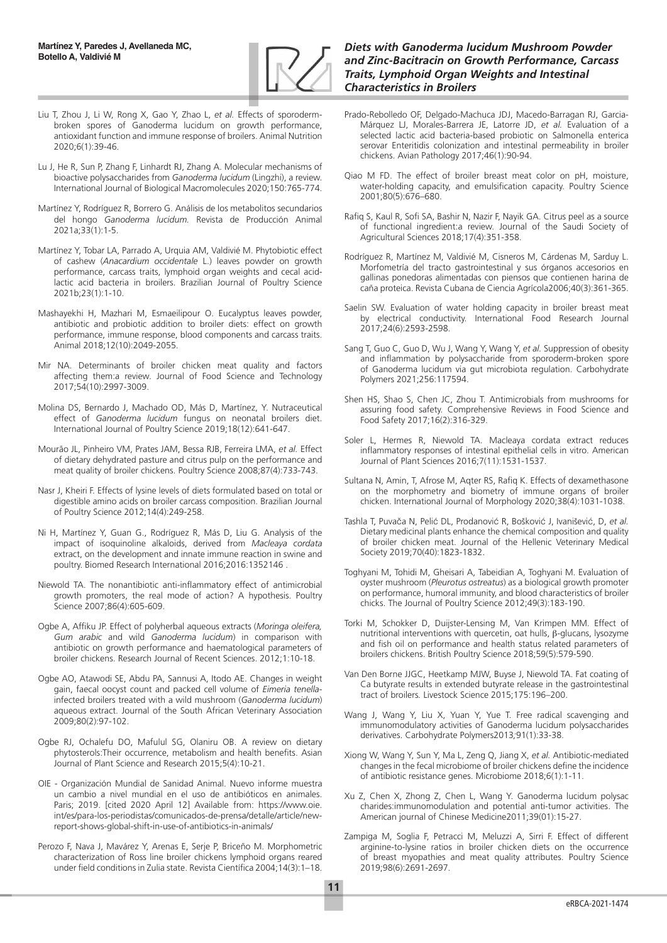

- Liu T, Zhou J, Li W, Rong X, Gao Y, Zhao L, *et al.* Effects of sporodermbroken spores of Ganoderma lucidum on growth performance, antioxidant function and immune response of broilers. Animal Nutrition 2020;6(1):39-46.
- Lu J, He R, Sun P, Zhang F, Linhardt RJ, Zhang A. Molecular mechanisms of bioactive polysaccharides from *Ganoderma lucidum* (Lingzhi), a review. International Journal of Biological Macromolecules 2020;150:765-774.
- Martínez Y, Rodríguez R, Borrero G. Análisis de los metabolitos secundarios del hongo *Ganoderma lucidum.* Revista de Producción Animal 2021a;33(1):1-5.
- Martínez Y, Tobar LA, Parrado A, Urquia AM, Valdivié M. Phytobiotic effect of cashew (*Anacardium occidentale* L.) leaves powder on growth performance, carcass traits, lymphoid organ weights and cecal acidlactic acid bacteria in broilers. Brazilian Journal of Poultry Science 2021b;23(1):1-10.
- Mashayekhi H, Mazhari M, Esmaeilipour O. Eucalyptus leaves powder, antibiotic and probiotic addition to broiler diets: effect on growth performance, immune response, blood components and carcass traits. Animal 2018;12(10):2049-2055.
- Mir NA. Determinants of broiler chicken meat quality and factors affecting them:a review. Journal of Food Science and Technology 2017;54(10):2997-3009.
- Molina DS, Bernardo J, Machado OD, Más D, Martínez, Y. Nutraceutical effect of *Ganoderma lucidum* fungus on neonatal broilers diet. International Journal of Poultry Science 2019;18(12):641-647.
- Mourão JL, Pinheiro VM, Prates JAM, Bessa RJB, Ferreira LMA, *et al.* Effect of dietary dehydrated pasture and citrus pulp on the performance and meat quality of broiler chickens. Poultry Science 2008;87(4):733-743.
- Nasr J, Kheiri F. Effects of lysine levels of diets formulated based on total or digestible amino acids on broiler carcass composition. Brazilian Journal of Poultry Science 2012;14(4):249-258.
- Ni H, Martínez Y, Guan G., Rodríguez R, Más D, Liu G. Analysis of the impact of isoquinoline alkaloids, derived from *Macleaya cordata*  extract, on the development and innate immune reaction in swine and poultry. Biomed Research International 2016;2016:1352146 .
- Niewold TA. The nonantibiotic anti-inflammatory effect of antimicrobial growth promoters, the real mode of action? A hypothesis. Poultry Science 2007;86(4):605-609.
- Ogbe A, Affiku JP. Effect of polyherbal aqueous extracts (*Moringa oleifera, Gum arabic* and wild *Ganoderma lucidum*) in comparison with antibiotic on growth performance and haematological parameters of broiler chickens. Research Journal of Recent Sciences. 2012;1:10-18.
- Ogbe AO, Atawodi SE, Abdu PA, Sannusi A, Itodo AE. Changes in weight gain, faecal oocyst count and packed cell volume of *Eimeria tenella*infected broilers treated with a wild mushroom (*Ganoderma lucidum*) aqueous extract. Journal of the South African Veterinary Association 2009;80(2):97-102.
- Ogbe RJ, Ochalefu DO, Mafulul SG, Olaniru OB. A review on dietary phytosterols:Their occurrence, metabolism and health benefits. Asian Journal of Plant Science and Research 2015;5(4):10-21.
- OIE Organización Mundial de Sanidad Animal. Nuevo informe muestra un cambio a nivel mundial en el uso de antibióticos en animales. Paris; 2019. [cited 2020 April 12] Available from: https://www.oie. int/es/para-los-periodistas/comunicados-de-prensa/detalle/article/newreport-shows-global-shift-in-use-of-antibiotics-in-animals/
- Perozo F, Nava J, Mavárez Y, Arenas E, Serje P, Briceño M. Morphometric characterization of Ross line broiler chickens lymphoid organs reared under field conditions in Zulia state. Revista Científica 2004;14(3):1–18.

#### *Diets with Ganoderma lucidum Mushroom Powder and Zinc-Bacitracin on Growth Performance, Carcass Traits, Lymphoid Organ Weights and Intestinal Characteristics in Broilers*

- Prado-Rebolledo OF, Delgado-Machuca JDJ, Macedo-Barragan RJ, Garcia-Márquez LJ, Morales-Barrera JE, Latorre JD, *et al.* Evaluation of a selected lactic acid bacteria-based probiotic on Salmonella enterica serovar Enteritidis colonization and intestinal permeability in broiler chickens. Avian Pathology 2017;46(1):90-94.
- Qiao M FD. The effect of broiler breast meat color on pH, moisture, water-holding capacity, and emulsification capacity. Poultry Science 2001;80(5):676–680.
- Rafiq S, Kaul R, Sofi SA, Bashir N, Nazir F, Nayik GA. Citrus peel as a source of functional ingredient:a review. Journal of the Saudi Society of Agricultural Sciences 2018;17(4):351-358.
- Rodríguez R, Martínez M, Valdivié M, Cisneros M, Cárdenas M, Sarduy L. Morfometría del tracto gastrointestinal y sus órganos accesorios en gallinas ponedoras alimentadas con piensos que contienen harina de caña proteica. Revista Cubana de Ciencia Agrícola2006;40(3):361-365.
- Saelin SW. Evaluation of water holding capacity in broiler breast meat by electrical conductivity. International Food Research Journal 2017;24(6):2593-2598.
- Sang T, Guo C, Guo D, Wu J, Wang Y, Wang Y, *et al.* Suppression of obesity and inflammation by polysaccharide from sporoderm-broken spore of Ganoderma lucidum via gut microbiota regulation. Carbohydrate Polymers 2021;256:117594.
- Shen HS, Shao S, Chen JC, Zhou T. Antimicrobials from mushrooms for assuring food safety. Comprehensive Reviews in Food Science and Food Safety 2017;16(2):316-329.
- Soler L, Hermes R, Niewold TA. Macleaya cordata extract reduces inflammatory responses of intestinal epithelial cells in vitro. American Journal of Plant Sciences 2016;7(11):1531-1537.
- Sultana N, Amin, T, Afrose M, Aqter RS, Rafiq K. Effects of dexamethasone on the morphometry and biometry of immune organs of broiler chicken. International Journal of Morphology 2020;38(4):1031-1038.
- Tashla T, Puvača N, Pelić DL, Prodanović R, Bošković J, Ivanišević, D, *et al.* Dietary medicinal plants enhance the chemical composition and quality of broiler chicken meat. Journal of the Hellenic Veterinary Medical Society 2019;70(40):1823-1832.
- Toghyani M, Tohidi M, Gheisari A, Tabeidian A, Toghyani M. Evaluation of oyster mushroom (*Pleurotus ostreatus*) as a biological growth promoter on performance, humoral immunity, and blood characteristics of broiler chicks. The Journal of Poultry Science 2012;49(3):183-190.
- Torki M, Schokker D, Duijster-Lensing M, Van Krimpen MM. Effect of nutritional interventions with quercetin, oat hulls, β-glucans, lysozyme and fish oil on performance and health status related parameters of broilers chickens. British Poultry Science 2018;59(5):579-590.
- Van Den Borne JJGC, Heetkamp MJW, Buyse J, Niewold TA. Fat coating of Ca butyrate results in extended butyrate release in the gastrointestinal tract of broilers*.* Livestock Science 2015;175:196–200.
- Wang J, Wang Y, Liu X, Yuan Y, Yue T. Free radical scavenging and immunomodulatory activities of Ganoderma lucidum polysaccharides derivatives. Carbohydrate Polymers2013*;*91(1):33-38.
- Xiong W, Wang Y, Sun Y, Ma L, Zeng Q, Jiang X, *et al.* Antibiotic-mediated changes in the fecal microbiome of broiler chickens define the incidence of antibiotic resistance genes. Microbiome 2018;6(1):1-11.
- Xu Z, Chen X, Zhong Z, Chen L, Wang Y. Ganoderma lucidum polysac charides:immunomodulation and potential anti-tumor activities. The American journal of Chinese Medicine2011;39(01):15-27.
- Zampiga M, Soglia F, Petracci M, Meluzzi A, Sirri F. Effect of different arginine-to-lysine ratios in broiler chicken diets on the occurrence of breast myopathies and meat quality attributes. Poultry Science 2019;98(6):2691-2697.